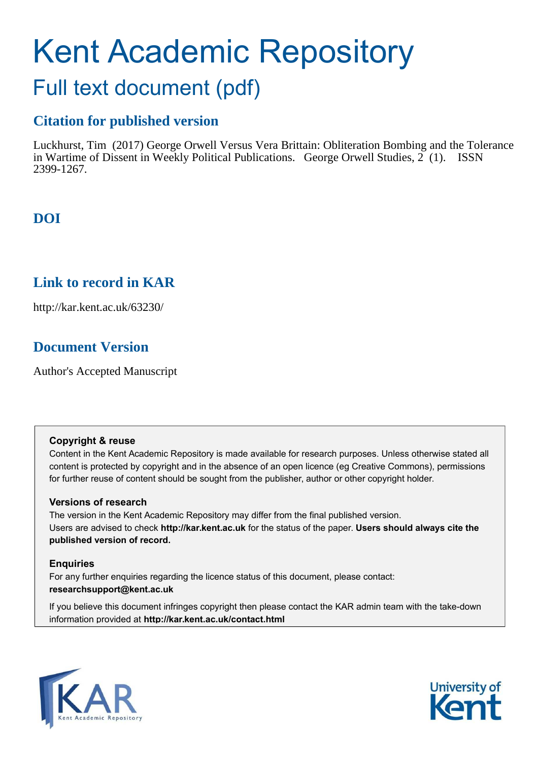# Kent Academic Repository

## Full text document (pdf)

### **Citation for published version**

Luckhurst, Tim (2017) George Orwell Versus Vera Brittain: Obliteration Bombing and the Tolerance in Wartime of Dissent in Weekly Political Publications. George Orwell Studies, 2 (1). ISSN 2399-1267.

## **DOI**

## **Link to record in KAR**

http://kar.kent.ac.uk/63230/

## **Document Version**

Author's Accepted Manuscript

#### **Copyright & reuse**

Content in the Kent Academic Repository is made available for research purposes. Unless otherwise stated all content is protected by copyright and in the absence of an open licence (eg Creative Commons), permissions for further reuse of content should be sought from the publisher, author or other copyright holder.

#### **Versions of research**

The version in the Kent Academic Repository may differ from the final published version. Users are advised to check **http://kar.kent.ac.uk** for the status of the paper. **Users should always cite the published version of record.**

#### **Enquiries**

For any further enquiries regarding the licence status of this document, please contact: **researchsupport@kent.ac.uk**

If you believe this document infringes copyright then please contact the KAR admin team with the take-down information provided at **http://kar.kent.ac.uk/contact.html**



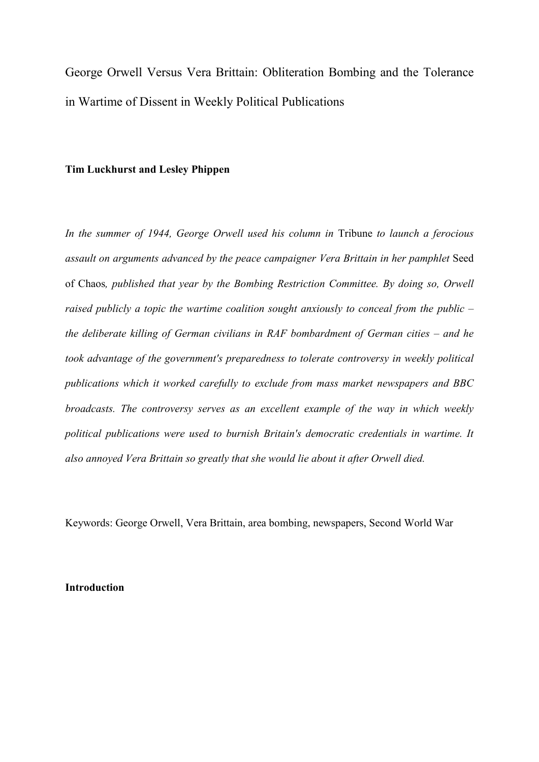George Orwell Versus Vera Brittain: Obliteration Bombing and the Tolerance in Wartime of Dissent in Weekly Political Publications

#### **Tim Luckhurst and Lesley Phippen**

*In the summer of 1944, George Orwell used his column in* Tribune *to launch a ferocious assault on arguments advanced by the peace campaigner Vera Brittain in her pamphlet* Seed of Chaos*, published that year by the Bombing Restriction Committee. By doing so, Orwell raised publicly a topic the wartime coalition sought anxiously to conceal from the public – the deliberate killing of German civilians in RAF bombardment of German cities – and he took advantage of the government's preparedness to tolerate controversy in weekly political publications which it worked carefully to exclude from mass market newspapers and BBC broadcasts. The controversy serves as an excellent example of the way in which weekly political publications were used to burnish Britain's democratic credentials in wartime. It also annoyed Vera Brittain so greatly that she would lie about it after Orwell died.*

Keywords: George Orwell, Vera Brittain, area bombing, newspapers, Second World War

#### **Introduction**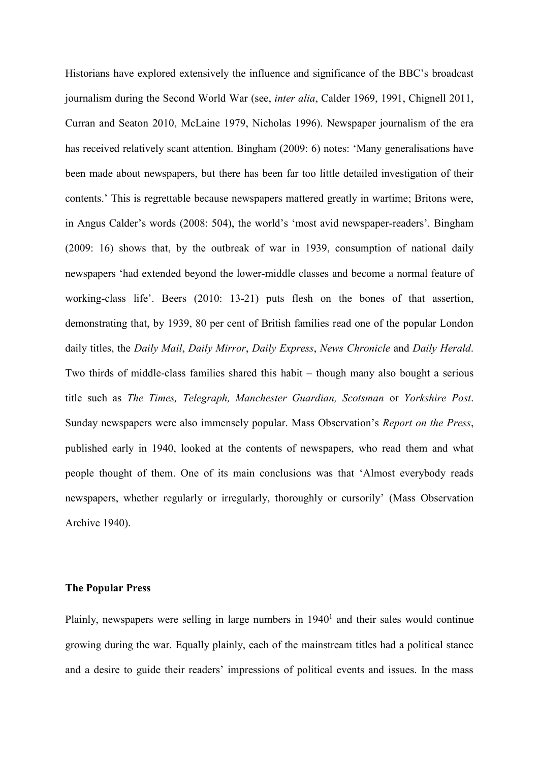Historians have explored extensively the influence and significance of the BBC's broadcast journalism during the Second World War (see, *inter alia*, Calder 1969, 1991, Chignell 2011, Curran and Seaton 2010, McLaine 1979, Nicholas 1996). Newspaper journalism of the era has received relatively scant attention. Bingham (2009: 6) notes: 'Many generalisations have been made about newspapers, but there has been far too little detailed investigation of their contents.' This is regrettable because newspapers mattered greatly in wartime; Britons were, in Angus Calder's words (2008: 504), the world's 'most avid newspaper-readers'. Bingham (2009: 16) shows that, by the outbreak of war in 1939, consumption of national daily newspapers 'had extended beyond the lower-middle classes and become a normal feature of working-class life'. Beers (2010: 13-21) puts flesh on the bones of that assertion, demonstrating that, by 1939, 80 per cent of British families read one of the popular London daily titles, the *Daily Mail*, *Daily Mirror*, *Daily Express*, *News Chronicle* and *Daily Herald*. Two thirds of middle-class families shared this habit – though many also bought a serious title such as *The Times, Telegraph, Manchester Guardian, Scotsman* or *Yorkshire Post*. Sunday newspapers were also immensely popular. Mass Observation's *Report on the Press*, published early in 1940, looked at the contents of newspapers, who read them and what people thought of them. One of its main conclusions was that 'Almost everybody reads newspapers, whether regularly or irregularly, thoroughly or cursorily' (Mass Observation Archive 1940).

#### **The Popular Press**

Plainly, newspapers were selling in large numbers in  $1940<sup>1</sup>$  and their sales would continue growing during the war. Equally plainly, each of the mainstream titles had a political stance and a desire to guide their readers' impressions of political events and issues. In the mass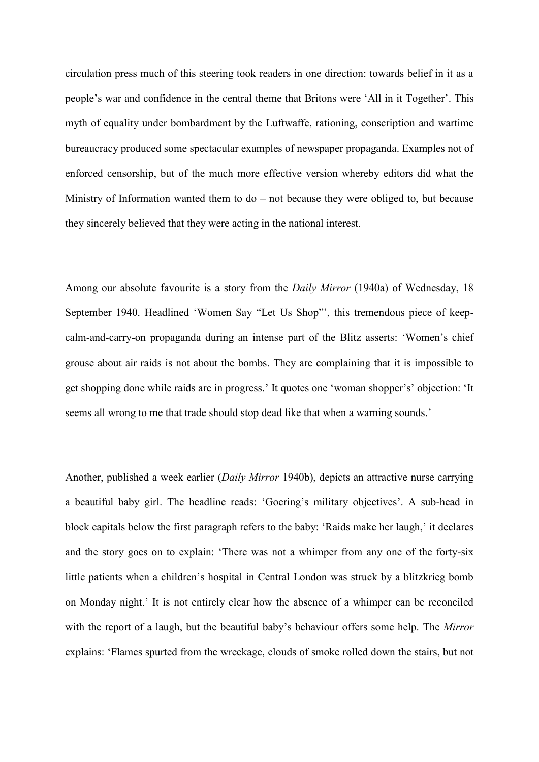circulation press much of this steering took readers in one direction: towards belief in it as a people's war and confidence in the central theme that Britons were 'All in it Together'. This myth of equality under bombardment by the Luftwaffe, rationing, conscription and wartime bureaucracy produced some spectacular examples of newspaper propaganda. Examples not of enforced censorship, but of the much more effective version whereby editors did what the Ministry of Information wanted them to do – not because they were obliged to, but because they sincerely believed that they were acting in the national interest.

Among our absolute favourite is a story from the *Daily Mirror* (1940a) of Wednesday, 18 September 1940. Headlined 'Women Say "Let Us Shop"', this tremendous piece of keepcalm-and-carry-on propaganda during an intense part of the Blitz asserts: 'Women's chief grouse about air raids is not about the bombs. They are complaining that it is impossible to get shopping done while raids are in progress.' It quotes one 'woman shopper's' objection: 'It seems all wrong to me that trade should stop dead like that when a warning sounds.'

Another, published a week earlier (*Daily Mirror* 1940b), depicts an attractive nurse carrying a beautiful baby girl. The headline reads: 'Goering's military objectives'. A sub-head in block capitals below the first paragraph refers to the baby: 'Raids make her laugh,' it declares and the story goes on to explain: 'There was not a whimper from any one of the forty-six little patients when a children's hospital in Central London was struck by a blitzkrieg bomb on Monday night.' It is not entirely clear how the absence of a whimper can be reconciled with the report of a laugh, but the beautiful baby's behaviour offers some help. The *Mirror*  explains: 'Flames spurted from the wreckage, clouds of smoke rolled down the stairs, but not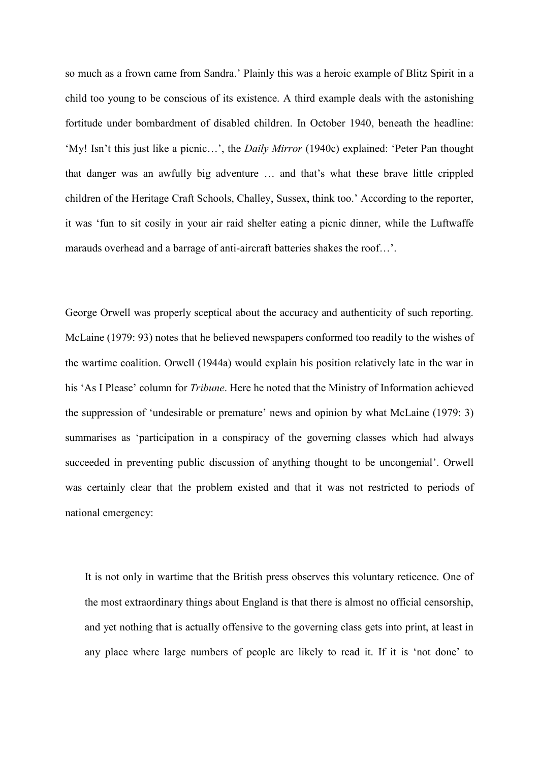so much as a frown came from Sandra.' Plainly this was a heroic example of Blitz Spirit in a child too young to be conscious of its existence. A third example deals with the astonishing fortitude under bombardment of disabled children. In October 1940, beneath the headline: 'My! Isn't this just like a picnic…', the *Daily Mirror* (1940c) explained: 'Peter Pan thought that danger was an awfully big adventure … and that's what these brave little crippled children of the Heritage Craft Schools, Challey, Sussex, think too.' According to the reporter, it was 'fun to sit cosily in your air raid shelter eating a picnic dinner, while the Luftwaffe marauds overhead and a barrage of anti-aircraft batteries shakes the roof…'.

George Orwell was properly sceptical about the accuracy and authenticity of such reporting. McLaine (1979: 93) notes that he believed newspapers conformed too readily to the wishes of the wartime coalition. Orwell (1944a) would explain his position relatively late in the war in his 'As I Please' column for *Tribune*. Here he noted that the Ministry of Information achieved the suppression of 'undesirable or premature' news and opinion by what McLaine (1979: 3) summarises as 'participation in a conspiracy of the governing classes which had always succeeded in preventing public discussion of anything thought to be uncongenial'. Orwell was certainly clear that the problem existed and that it was not restricted to periods of national emergency:

It is not only in wartime that the British press observes this voluntary reticence. One of the most extraordinary things about England is that there is almost no official censorship, and yet nothing that is actually offensive to the governing class gets into print, at least in any place where large numbers of people are likely to read it. If it is 'not done' to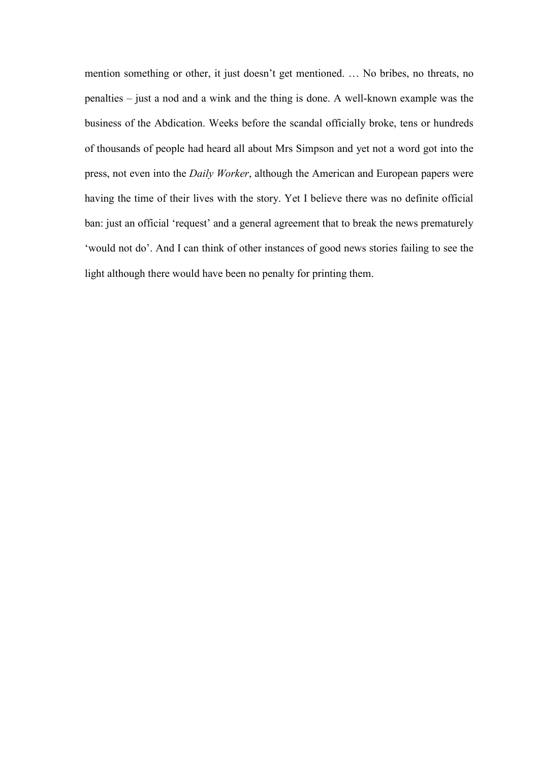mention something or other, it just doesn't get mentioned. … No bribes, no threats, no penalties – just a nod and a wink and the thing is done. A well-known example was the business of the Abdication. Weeks before the scandal officially broke, tens or hundreds of thousands of people had heard all about Mrs Simpson and yet not a word got into the press, not even into the *Daily Worker*, although the American and European papers were having the time of their lives with the story. Yet I believe there was no definite official ban: just an official 'request' and a general agreement that to break the news prematurely 'would not do'. And I can think of other instances of good news stories failing to see the light although there would have been no penalty for printing them.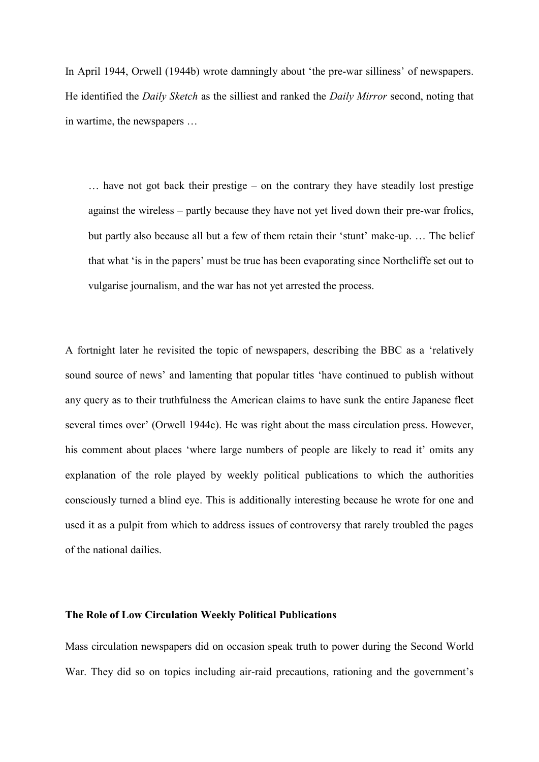In April 1944, Orwell (1944b) wrote damningly about 'the pre-war silliness' of newspapers. He identified the *Daily Sketch* as the silliest and ranked the *Daily Mirror* second, noting that in wartime, the newspapers …

… have not got back their prestige – on the contrary they have steadily lost prestige against the wireless – partly because they have not yet lived down their pre-war frolics, but partly also because all but a few of them retain their 'stunt' make-up. … The belief that what 'is in the papers' must be true has been evaporating since Northcliffe set out to vulgarise journalism, and the war has not yet arrested the process.

A fortnight later he revisited the topic of newspapers, describing the BBC as a 'relatively sound source of news' and lamenting that popular titles 'have continued to publish without any query as to their truthfulness the American claims to have sunk the entire Japanese fleet several times over' (Orwell 1944c). He was right about the mass circulation press. However, his comment about places 'where large numbers of people are likely to read it' omits any explanation of the role played by weekly political publications to which the authorities consciously turned a blind eye. This is additionally interesting because he wrote for one and used it as a pulpit from which to address issues of controversy that rarely troubled the pages of the national dailies.

#### **The Role of Low Circulation Weekly Political Publications**

Mass circulation newspapers did on occasion speak truth to power during the Second World War. They did so on topics including air-raid precautions, rationing and the government's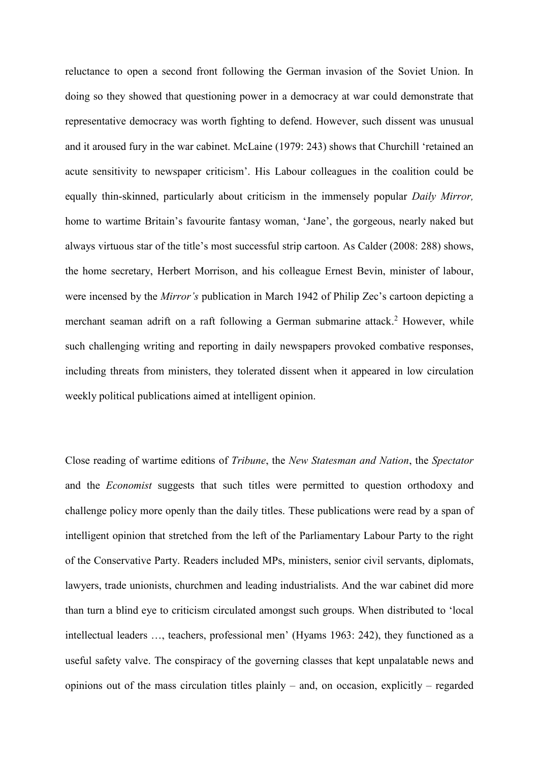reluctance to open a second front following the German invasion of the Soviet Union. In doing so they showed that questioning power in a democracy at war could demonstrate that representative democracy was worth fighting to defend. However, such dissent was unusual and it aroused fury in the war cabinet. McLaine (1979: 243) shows that Churchill 'retained an acute sensitivity to newspaper criticism'. His Labour colleagues in the coalition could be equally thin-skinned, particularly about criticism in the immensely popular *Daily Mirror,* home to wartime Britain's favourite fantasy woman, 'Jane', the gorgeous, nearly naked but always virtuous star of the title's most successful strip cartoon. As Calder (2008: 288) shows, the home secretary, Herbert Morrison, and his colleague Ernest Bevin, minister of labour, were incensed by the *Mirror's* publication in March 1942 of Philip Zec's cartoon depicting a merchant seaman adrift on a raft following a German submarine attack.<sup>2</sup> However, while such challenging writing and reporting in daily newspapers provoked combative responses, including threats from ministers, they tolerated dissent when it appeared in low circulation weekly political publications aimed at intelligent opinion.

Close reading of wartime editions of *Tribune*, the *New Statesman and Nation*, the *Spectator* and the *Economist* suggests that such titles were permitted to question orthodoxy and challenge policy more openly than the daily titles. These publications were read by a span of intelligent opinion that stretched from the left of the Parliamentary Labour Party to the right of the Conservative Party. Readers included MPs, ministers, senior civil servants, diplomats, lawyers, trade unionists, churchmen and leading industrialists. And the war cabinet did more than turn a blind eye to criticism circulated amongst such groups. When distributed to 'local intellectual leaders …, teachers, professional men' (Hyams 1963: 242), they functioned as a useful safety valve. The conspiracy of the governing classes that kept unpalatable news and opinions out of the mass circulation titles plainly – and, on occasion, explicitly – regarded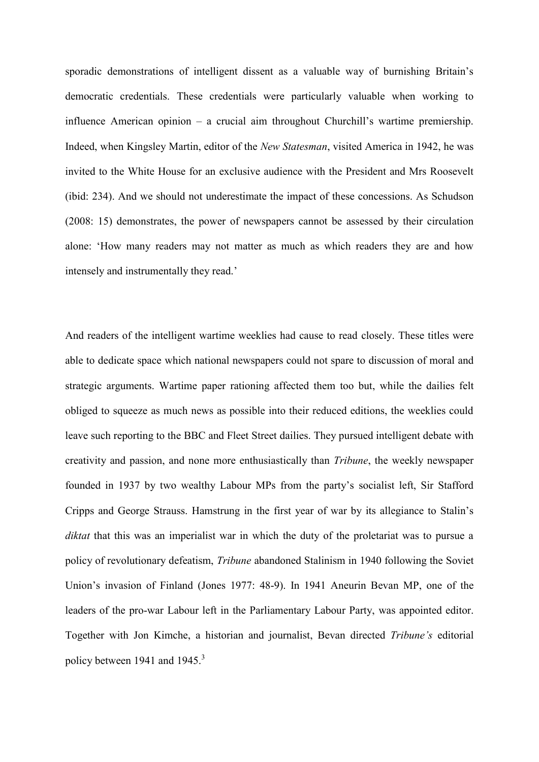sporadic demonstrations of intelligent dissent as a valuable way of burnishing Britain's democratic credentials. These credentials were particularly valuable when working to influence American opinion – a crucial aim throughout Churchill's wartime premiership. Indeed, when Kingsley Martin, editor of the *New Statesman*, visited America in 1942, he was invited to the White House for an exclusive audience with the President and Mrs Roosevelt (ibid: 234). And we should not underestimate the impact of these concessions. As Schudson (2008: 15) demonstrates, the power of newspapers cannot be assessed by their circulation alone: 'How many readers may not matter as much as which readers they are and how intensely and instrumentally they read.'

And readers of the intelligent wartime weeklies had cause to read closely. These titles were able to dedicate space which national newspapers could not spare to discussion of moral and strategic arguments. Wartime paper rationing affected them too but, while the dailies felt obliged to squeeze as much news as possible into their reduced editions, the weeklies could leave such reporting to the BBC and Fleet Street dailies. They pursued intelligent debate with creativity and passion, and none more enthusiastically than *Tribune*, the weekly newspaper founded in 1937 by two wealthy Labour MPs from the party's socialist left, Sir Stafford Cripps and George Strauss. Hamstrung in the first year of war by its allegiance to Stalin's *diktat* that this was an imperialist war in which the duty of the proletariat was to pursue a policy of revolutionary defeatism, *Tribune* abandoned Stalinism in 1940 following the Soviet Union's invasion of Finland (Jones 1977: 48-9). In 1941 Aneurin Bevan MP, one of the leaders of the pro-war Labour left in the Parliamentary Labour Party, was appointed editor. Together with Jon Kimche, a historian and journalist, Bevan directed *Tribune's* editorial policy between 1941 and 1945.<sup>3</sup>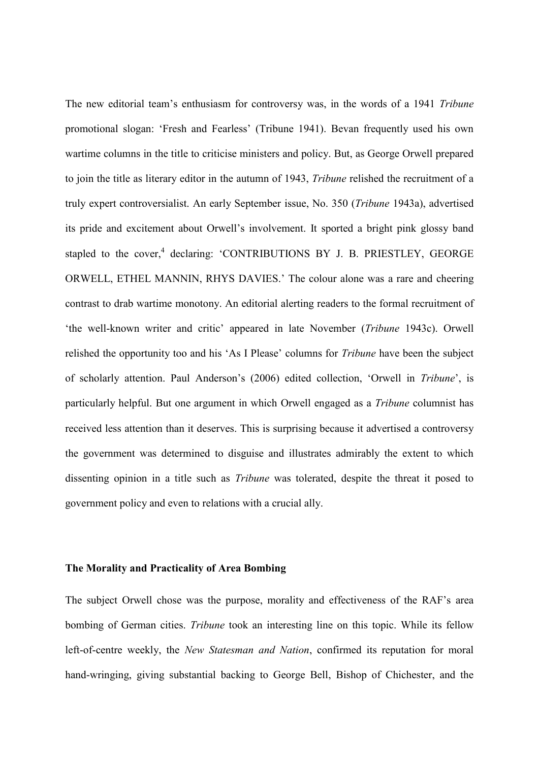The new editorial team's enthusiasm for controversy was, in the words of a 1941 *Tribune* promotional slogan: 'Fresh and Fearless' (Tribune 1941). Bevan frequently used his own wartime columns in the title to criticise ministers and policy. But, as George Orwell prepared to join the title as literary editor in the autumn of 1943, *Tribune* relished the recruitment of a truly expert controversialist. An early September issue, No. 350 (*Tribune* 1943a), advertised its pride and excitement about Orwell's involvement. It sported a bright pink glossy band stapled to the cover,<sup>4</sup> declaring: 'CONTRIBUTIONS BY J. B. PRIESTLEY, GEORGE ORWELL, ETHEL MANNIN, RHYS DAVIES.' The colour alone was a rare and cheering contrast to drab wartime monotony. An editorial alerting readers to the formal recruitment of 'the well-known writer and critic' appeared in late November (*Tribune* 1943c). Orwell relished the opportunity too and his 'As I Please' columns for *Tribune* have been the subject of scholarly attention. Paul Anderson's (2006) edited collection, 'Orwell in *Tribune*', is particularly helpful. But one argument in which Orwell engaged as a *Tribune* columnist has received less attention than it deserves. This is surprising because it advertised a controversy the government was determined to disguise and illustrates admirably the extent to which dissenting opinion in a title such as *Tribune* was tolerated, despite the threat it posed to government policy and even to relations with a crucial ally.

#### **The Morality and Practicality of Area Bombing**

The subject Orwell chose was the purpose, morality and effectiveness of the RAF's area bombing of German cities. *Tribune* took an interesting line on this topic. While its fellow left-of-centre weekly, the *New Statesman and Nation*, confirmed its reputation for moral hand-wringing, giving substantial backing to George Bell, Bishop of Chichester, and the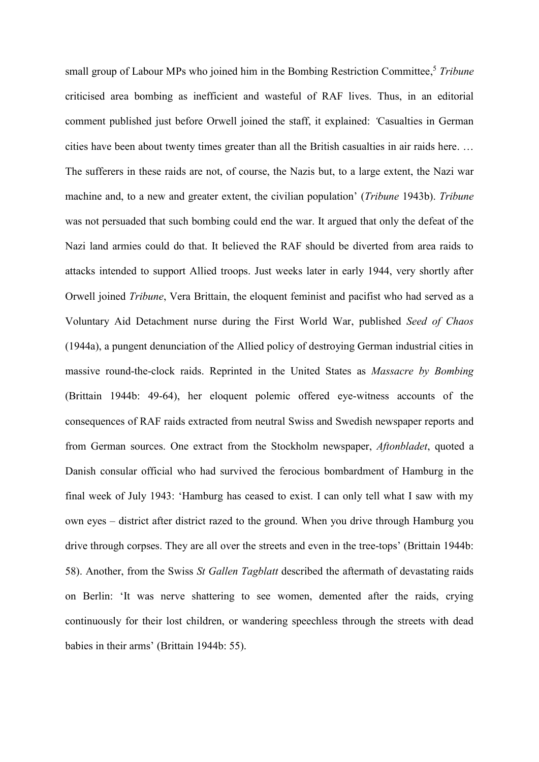small group of Labour MPs who joined him in the Bombing Restriction Committee.<sup>5</sup> *Tribune* criticised area bombing as inefficient and wasteful of RAF lives. Thus, in an editorial comment published just before Orwell joined the staff, it explained: *'*Casualties in German cities have been about twenty times greater than all the British casualties in air raids here. … The sufferers in these raids are not, of course, the Nazis but, to a large extent, the Nazi war machine and, to a new and greater extent, the civilian population' (*Tribune* 1943b). *Tribune*  was not persuaded that such bombing could end the war. It argued that only the defeat of the Nazi land armies could do that. It believed the RAF should be diverted from area raids to attacks intended to support Allied troops. Just weeks later in early 1944, very shortly after Orwell joined *Tribune*, Vera Brittain, the eloquent feminist and pacifist who had served as a Voluntary Aid Detachment nurse during the First World War, published *Seed of Chaos*  (1944a), a pungent denunciation of the Allied policy of destroying German industrial cities in massive round-the-clock raids. Reprinted in the United States as *Massacre by Bombing*  (Brittain 1944b: 49-64), her eloquent polemic offered eye-witness accounts of the consequences of RAF raids extracted from neutral Swiss and Swedish newspaper reports and from German sources. One extract from the Stockholm newspaper, *Aftonbladet*, quoted a Danish consular official who had survived the ferocious bombardment of Hamburg in the final week of July 1943: 'Hamburg has ceased to exist. I can only tell what I saw with my own eyes – district after district razed to the ground. When you drive through Hamburg you drive through corpses. They are all over the streets and even in the tree-tops' (Brittain 1944b: 58). Another, from the Swiss *St Gallen Tagblatt* described the aftermath of devastating raids on Berlin: 'It was nerve shattering to see women, demented after the raids, crying continuously for their lost children, or wandering speechless through the streets with dead babies in their arms' (Brittain 1944b: 55).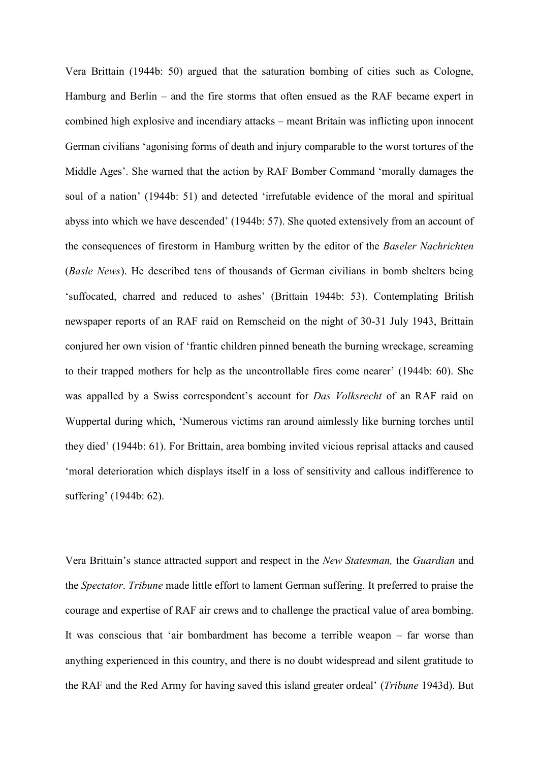Vera Brittain (1944b: 50) argued that the saturation bombing of cities such as Cologne, Hamburg and Berlin – and the fire storms that often ensued as the RAF became expert in combined high explosive and incendiary attacks – meant Britain was inflicting upon innocent German civilians 'agonising forms of death and injury comparable to the worst tortures of the Middle Ages'. She warned that the action by RAF Bomber Command 'morally damages the soul of a nation' (1944b: 51) and detected 'irrefutable evidence of the moral and spiritual abyss into which we have descended' (1944b: 57). She quoted extensively from an account of the consequences of firestorm in Hamburg written by the editor of the *Baseler Nachrichten* (*Basle News*). He described tens of thousands of German civilians in bomb shelters being 'suffocated, charred and reduced to ashes' (Brittain 1944b: 53). Contemplating British newspaper reports of an RAF raid on Remscheid on the night of 30-31 July 1943, Brittain conjured her own vision of 'frantic children pinned beneath the burning wreckage, screaming to their trapped mothers for help as the uncontrollable fires come nearer' (1944b: 60). She was appalled by a Swiss correspondent's account for *Das Volksrecht* of an RAF raid on Wuppertal during which, 'Numerous victims ran around aimlessly like burning torches until they died' (1944b: 61). For Brittain, area bombing invited vicious reprisal attacks and caused 'moral deterioration which displays itself in a loss of sensitivity and callous indifference to suffering' (1944b: 62).

Vera Brittain's stance attracted support and respect in the *New Statesman,* the *Guardian* and the *Spectator*. *Tribune* made little effort to lament German suffering. It preferred to praise the courage and expertise of RAF air crews and to challenge the practical value of area bombing. It was conscious that 'air bombardment has become a terrible weapon – far worse than anything experienced in this country, and there is no doubt widespread and silent gratitude to the RAF and the Red Army for having saved this island greater ordeal' (*Tribune* 1943d). But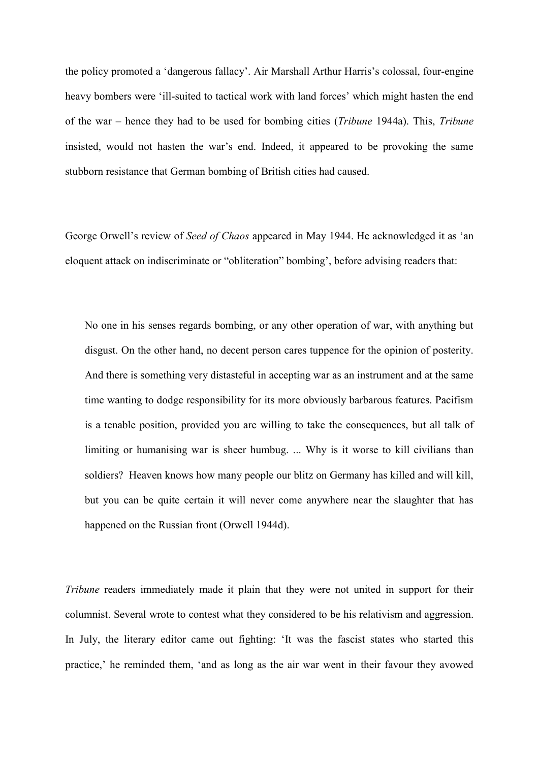the policy promoted a 'dangerous fallacy'. Air Marshall Arthur Harris's colossal, four-engine heavy bombers were 'ill-suited to tactical work with land forces' which might hasten the end of the war – hence they had to be used for bombing cities (*Tribune* 1944a). This, *Tribune* insisted, would not hasten the war's end. Indeed, it appeared to be provoking the same stubborn resistance that German bombing of British cities had caused.

George Orwell's review of *Seed of Chaos* appeared in May 1944. He acknowledged it as 'an eloquent attack on indiscriminate or "obliteration" bombing', before advising readers that:

No one in his senses regards bombing, or any other operation of war, with anything but disgust. On the other hand, no decent person cares tuppence for the opinion of posterity. And there is something very distasteful in accepting war as an instrument and at the same time wanting to dodge responsibility for its more obviously barbarous features. Pacifism is a tenable position, provided you are willing to take the consequences, but all talk of limiting or humanising war is sheer humbug. ... Why is it worse to kill civilians than soldiers? Heaven knows how many people our blitz on Germany has killed and will kill, but you can be quite certain it will never come anywhere near the slaughter that has happened on the Russian front (Orwell 1944d).

*Tribune* readers immediately made it plain that they were not united in support for their columnist. Several wrote to contest what they considered to be his relativism and aggression. In July, the literary editor came out fighting: 'It was the fascist states who started this practice,' he reminded them, 'and as long as the air war went in their favour they avowed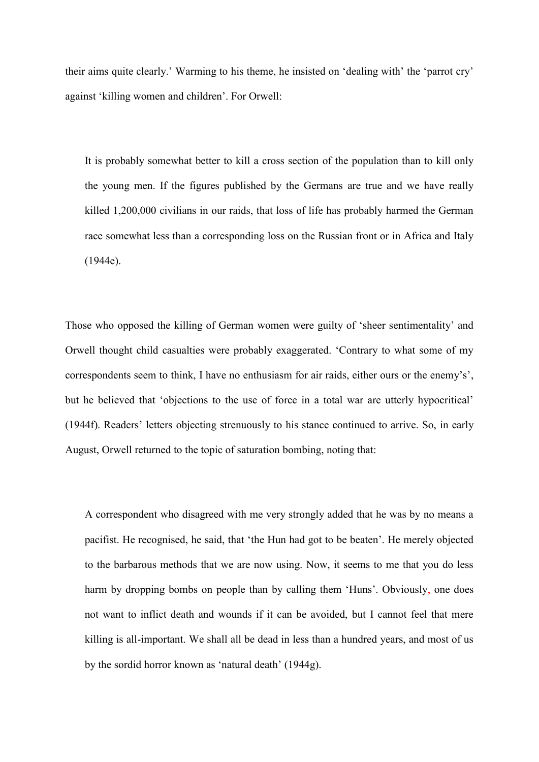their aims quite clearly.' Warming to his theme, he insisted on 'dealing with' the 'parrot cry' against 'killing women and children'. For Orwell:

It is probably somewhat better to kill a cross section of the population than to kill only the young men. If the figures published by the Germans are true and we have really killed 1,200,000 civilians in our raids, that loss of life has probably harmed the German race somewhat less than a corresponding loss on the Russian front or in Africa and Italy (1944e).

Those who opposed the killing of German women were guilty of 'sheer sentimentality' and Orwell thought child casualties were probably exaggerated. 'Contrary to what some of my correspondents seem to think, I have no enthusiasm for air raids, either ours or the enemy's', but he believed that 'objections to the use of force in a total war are utterly hypocritical' (1944f). Readers' letters objecting strenuously to his stance continued to arrive. So, in early August, Orwell returned to the topic of saturation bombing, noting that:

A correspondent who disagreed with me very strongly added that he was by no means a pacifist. He recognised, he said, that 'the Hun had got to be beaten'. He merely objected to the barbarous methods that we are now using. Now, it seems to me that you do less harm by dropping bombs on people than by calling them 'Huns'. Obviously, one does not want to inflict death and wounds if it can be avoided, but I cannot feel that mere killing is all-important. We shall all be dead in less than a hundred years, and most of us by the sordid horror known as 'natural death' (1944g).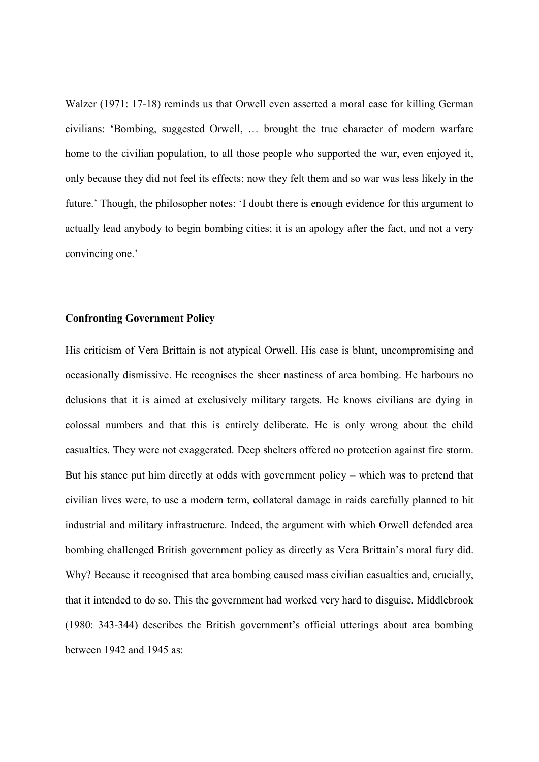Walzer (1971: 17-18) reminds us that Orwell even asserted a moral case for killing German civilians: 'Bombing, suggested Orwell, … brought the true character of modern warfare home to the civilian population, to all those people who supported the war, even enjoyed it, only because they did not feel its effects; now they felt them and so war was less likely in the future.' Though, the philosopher notes: 'I doubt there is enough evidence for this argument to actually lead anybody to begin bombing cities; it is an apology after the fact, and not a very convincing one.'

#### **Confronting Government Policy**

His criticism of Vera Brittain is not atypical Orwell. His case is blunt, uncompromising and occasionally dismissive. He recognises the sheer nastiness of area bombing. He harbours no delusions that it is aimed at exclusively military targets. He knows civilians are dying in colossal numbers and that this is entirely deliberate. He is only wrong about the child casualties. They were not exaggerated. Deep shelters offered no protection against fire storm. But his stance put him directly at odds with government policy – which was to pretend that civilian lives were, to use a modern term, collateral damage in raids carefully planned to hit industrial and military infrastructure. Indeed, the argument with which Orwell defended area bombing challenged British government policy as directly as Vera Brittain's moral fury did. Why? Because it recognised that area bombing caused mass civilian casualties and, crucially, that it intended to do so. This the government had worked very hard to disguise. Middlebrook (1980: 343-344) describes the British government's official utterings about area bombing between 1942 and 1945 as: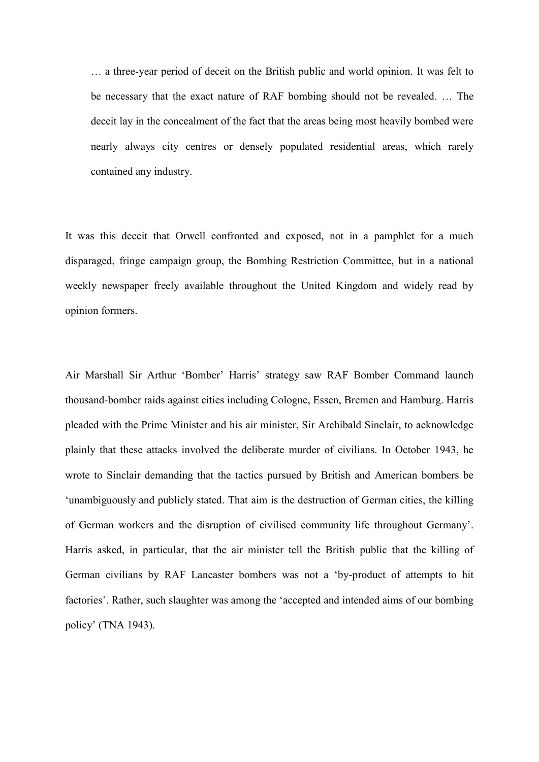… a three-year period of deceit on the British public and world opinion. It was felt to be necessary that the exact nature of RAF bombing should not be revealed. … The deceit lay in the concealment of the fact that the areas being most heavily bombed were nearly always city centres or densely populated residential areas, which rarely contained any industry.

It was this deceit that Orwell confronted and exposed, not in a pamphlet for a much disparaged, fringe campaign group, the Bombing Restriction Committee, but in a national weekly newspaper freely available throughout the United Kingdom and widely read by opinion formers.

Air Marshall Sir Arthur 'Bomber' Harris' strategy saw RAF Bomber Command launch thousand-bomber raids against cities including Cologne, Essen, Bremen and Hamburg. Harris pleaded with the Prime Minister and his air minister, Sir Archibald Sinclair, to acknowledge plainly that these attacks involved the deliberate murder of civilians. In October 1943, he wrote to Sinclair demanding that the tactics pursued by British and American bombers be 'unambiguously and publicly stated. That aim is the destruction of German cities, the killing of German workers and the disruption of civilised community life throughout Germany'. Harris asked, in particular, that the air minister tell the British public that the killing of German civilians by RAF Lancaster bombers was not a 'by-product of attempts to hit factories'. Rather, such slaughter was among the 'accepted and intended aims of our bombing policy' (TNA 1943).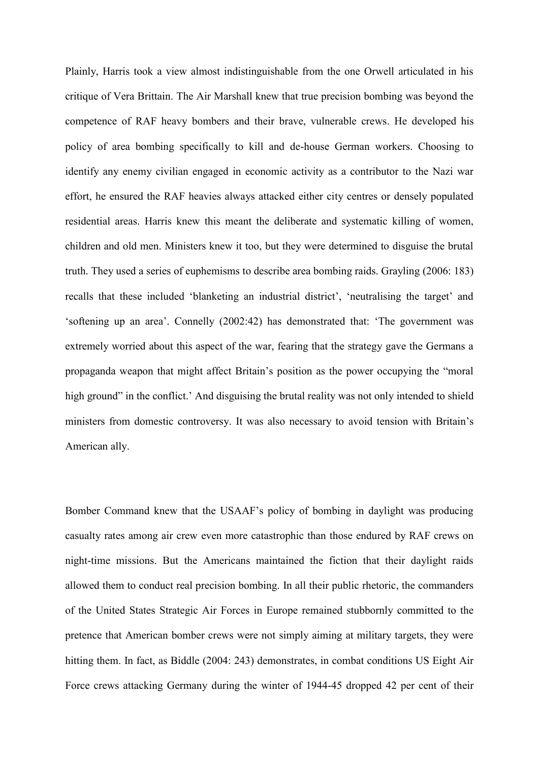Plainly, Harris took a view almost indistinguishable from the one Orwell articulated in his critique of Vera Brittain. The Air Marshall knew that true precision bombing was beyond the competence of RAF heavy bombers and their brave, vulnerable crews. He developed his policy of area bombing specifically to kill and de-house German workers. Choosing to identify any enemy civilian engaged in economic activity as a contributor to the Nazi war effort, he ensured the RAF heavies always attacked either city centres or densely populated residential areas. Harris knew this meant the deliberate and systematic killing of women, children and old men. Ministers knew it too, but they were determined to disguise the brutal truth. They used a series of euphemisms to describe area bombing raids. Grayling (2006: 183) recalls that these included 'blanketing an industrial district', 'neutralising the target' and 'softening up an area'. Connelly (2002:42) has demonstrated that: 'The government was extremely worried about this aspect of the war, fearing that the strategy gave the Germans a propaganda weapon that might affect Britain's position as the power occupying the "moral high ground" in the conflict.' And disguising the brutal reality was not only intended to shield ministers from domestic controversy. It was also necessary to avoid tension with Britain's American ally.

Bomber Command knew that the USAAF's policy of bombing in daylight was producing casualty rates among air crew even more catastrophic than those endured by RAF crews on night-time missions. But the Americans maintained the fiction that their daylight raids allowed them to conduct real precision bombing. In all their public rhetoric, the commanders of the United States Strategic Air Forces in Europe remained stubbornly committed to the pretence that American bomber crews were not simply aiming at military targets, they were hitting them. In fact, as Biddle (2004: 243) demonstrates, in combat conditions US Eight Air Force crews attacking Germany during the winter of 1944-45 dropped 42 per cent of their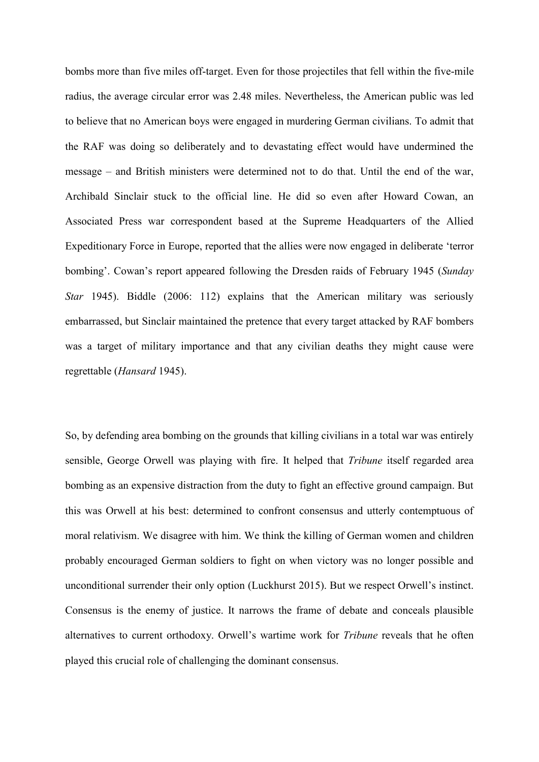bombs more than five miles off-target. Even for those projectiles that fell within the five-mile radius, the average circular error was 2.48 miles. Nevertheless, the American public was led to believe that no American boys were engaged in murdering German civilians. To admit that the RAF was doing so deliberately and to devastating effect would have undermined the message – and British ministers were determined not to do that. Until the end of the war, Archibald Sinclair stuck to the official line. He did so even after Howard Cowan, an Associated Press war correspondent based at the Supreme Headquarters of the Allied Expeditionary Force in Europe, reported that the allies were now engaged in deliberate 'terror bombing'. Cowan's report appeared following the Dresden raids of February 1945 (*Sunday Star* 1945). Biddle (2006: 112) explains that the American military was seriously embarrassed, but Sinclair maintained the pretence that every target attacked by RAF bombers was a target of military importance and that any civilian deaths they might cause were regrettable (*Hansard* 1945).

So, by defending area bombing on the grounds that killing civilians in a total war was entirely sensible, George Orwell was playing with fire. It helped that *Tribune* itself regarded area bombing as an expensive distraction from the duty to fight an effective ground campaign. But this was Orwell at his best: determined to confront consensus and utterly contemptuous of moral relativism. We disagree with him. We think the killing of German women and children probably encouraged German soldiers to fight on when victory was no longer possible and unconditional surrender their only option (Luckhurst 2015). But we respect Orwell's instinct. Consensus is the enemy of justice. It narrows the frame of debate and conceals plausible alternatives to current orthodoxy. Orwell's wartime work for *Tribune* reveals that he often played this crucial role of challenging the dominant consensus.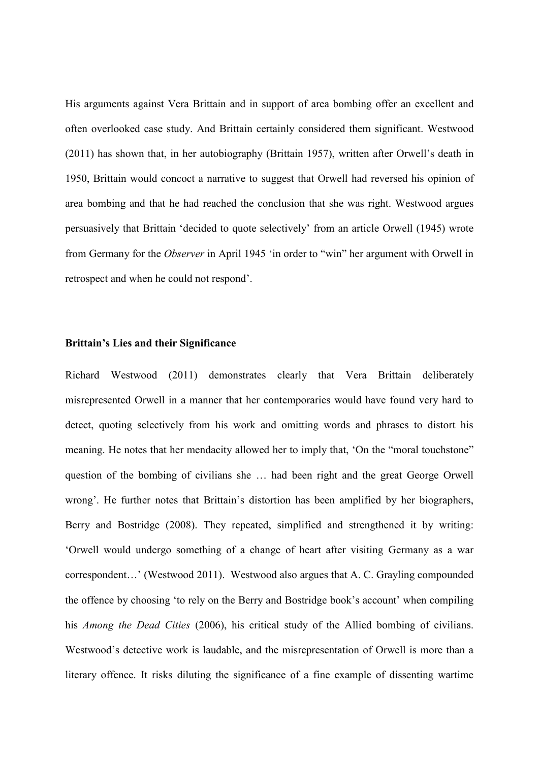His arguments against Vera Brittain and in support of area bombing offer an excellent and often overlooked case study. And Brittain certainly considered them significant. Westwood (2011) has shown that, in her autobiography (Brittain 1957), written after Orwell's death in 1950, Brittain would concoct a narrative to suggest that Orwell had reversed his opinion of area bombing and that he had reached the conclusion that she was right. Westwood argues persuasively that Brittain 'decided to quote selectively' from an article Orwell (1945) wrote from Germany for the *Observer* in April 1945 'in order to "win" her argument with Orwell in retrospect and when he could not respond'.

#### **Brittain's Lies and their Significance**

Richard Westwood (2011) demonstrates clearly that Vera Brittain deliberately misrepresented Orwell in a manner that her contemporaries would have found very hard to detect, quoting selectively from his work and omitting words and phrases to distort his meaning. He notes that her mendacity allowed her to imply that, 'On the "moral touchstone" question of the bombing of civilians she … had been right and the great George Orwell wrong'. He further notes that Brittain's distortion has been amplified by her biographers, Berry and Bostridge (2008). They repeated, simplified and strengthened it by writing: 'Orwell would undergo something of a change of heart after visiting Germany as a war correspondent…' (Westwood 2011). Westwood also argues that A. C. Grayling compounded the offence by choosing 'to rely on the Berry and Bostridge book's account' when compiling his *Among the Dead Cities* (2006), his critical study of the Allied bombing of civilians. Westwood's detective work is laudable, and the misrepresentation of Orwell is more than a literary offence. It risks diluting the significance of a fine example of dissenting wartime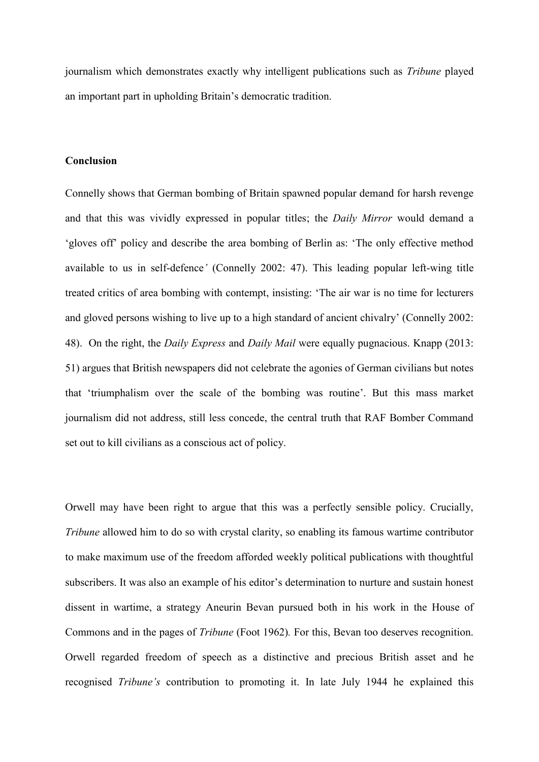journalism which demonstrates exactly why intelligent publications such as *Tribune* played an important part in upholding Britain's democratic tradition.

#### **Conclusion**

Connelly shows that German bombing of Britain spawned popular demand for harsh revenge and that this was vividly expressed in popular titles; the *Daily Mirror* would demand a 'gloves off' policy and describe the area bombing of Berlin as: 'The only effective method available to us in self-defence*'* (Connelly 2002: 47). This leading popular left-wing title treated critics of area bombing with contempt, insisting: 'The air war is no time for lecturers and gloved persons wishing to live up to a high standard of ancient chivalry' (Connelly 2002: 48). On the right, the *Daily Express* and *Daily Mail* were equally pugnacious. Knapp (2013: 51) argues that British newspapers did not celebrate the agonies of German civilians but notes that 'triumphalism over the scale of the bombing was routine'. But this mass market journalism did not address, still less concede, the central truth that RAF Bomber Command set out to kill civilians as a conscious act of policy.

Orwell may have been right to argue that this was a perfectly sensible policy. Crucially, *Tribune* allowed him to do so with crystal clarity, so enabling its famous wartime contributor to make maximum use of the freedom afforded weekly political publications with thoughtful subscribers. It was also an example of his editor's determination to nurture and sustain honest dissent in wartime, a strategy Aneurin Bevan pursued both in his work in the House of Commons and in the pages of *Tribune* (Foot 1962)*.* For this, Bevan too deserves recognition. Orwell regarded freedom of speech as a distinctive and precious British asset and he recognised *Tribune's* contribution to promoting it. In late July 1944 he explained this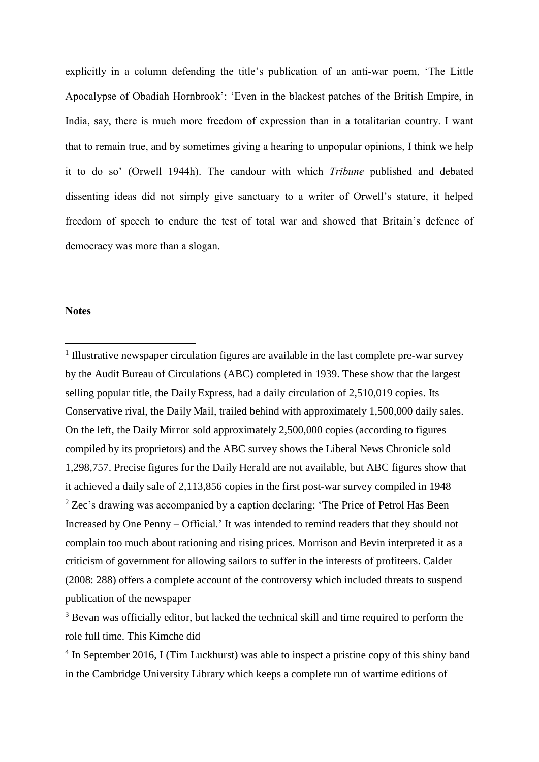explicitly in a column defending the title's publication of an anti-war poem, 'The Little Apocalypse of Obadiah Hornbrook': 'Even in the blackest patches of the British Empire, in India, say, there is much more freedom of expression than in a totalitarian country. I want that to remain true, and by sometimes giving a hearing to unpopular opinions, I think we help it to do so' (Orwell 1944h). The candour with which *Tribune* published and debated dissenting ideas did not simply give sanctuary to a writer of Orwell's stature, it helped freedom of speech to endure the test of total war and showed that Britain's defence of democracy was more than a slogan.

#### **Notes**

 $\overline{a}$ 

<sup>1</sup> Illustrative newspaper circulation figures are available in the last complete pre-war survey by the Audit Bureau of Circulations (ABC) completed in 1939. These show that the largest selling popular title, the Daily Express, had a daily circulation of 2,510,019 copies. Its Conservative rival, the Daily Mail, trailed behind with approximately 1,500,000 daily sales. On the left, the Daily Mirror sold approximately 2,500,000 copies (according to figures compiled by its proprietors) and the ABC survey shows the Liberal News Chronicle sold 1,298,757. Precise figures for the Daily Herald are not available, but ABC figures show that it achieved a daily sale of 2,113,856 copies in the first post-war survey compiled in 1948  $2$  Zec's drawing was accompanied by a caption declaring: 'The Price of Petrol Has Been Increased by One Penny – Official.' It was intended to remind readers that they should not complain too much about rationing and rising prices. Morrison and Bevin interpreted it as a criticism of government for allowing sailors to suffer in the interests of profiteers. Calder (2008: 288) offers a complete account of the controversy which included threats to suspend publication of the newspaper

<sup>3</sup> Bevan was officially editor, but lacked the technical skill and time required to perform the role full time. This Kimche did

<sup>4</sup> In September 2016, I (Tim Luckhurst) was able to inspect a pristine copy of this shiny band in the Cambridge University Library which keeps a complete run of wartime editions of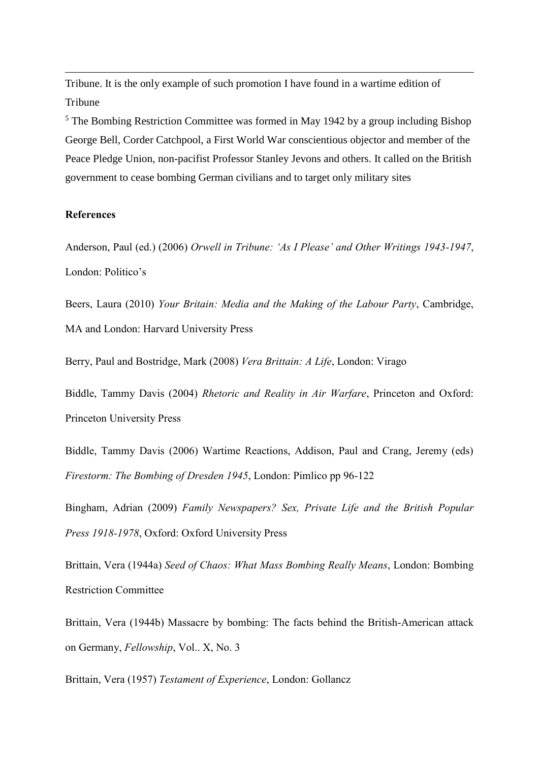Tribune. It is the only example of such promotion I have found in a wartime edition of **Tribune** 

<sup>5</sup> The Bombing Restriction Committee was formed in May 1942 by a group including Bishop George Bell, Corder Catchpool, a First World War conscientious objector and member of the Peace Pledge Union, non-pacifist Professor Stanley Jevons and others. It called on the British government to cease bombing German civilians and to target only military sites

#### **References**

 $\overline{a}$ 

Anderson, Paul (ed.) (2006) *Orwell in Tribune: 'As I Please' and Other Writings 1943-1947*, London: Politico's

Beers, Laura (2010) *Your Britain: Media and the Making of the Labour Party*, Cambridge, MA and London: Harvard University Press

Berry, Paul and Bostridge, Mark (2008) *Vera Brittain: A Life*, London: Virago

Biddle, Tammy Davis (2004) *Rhetoric and Reality in Air Warfare*, Princeton and Oxford: Princeton University Press

Biddle, Tammy Davis (2006) Wartime Reactions, Addison, Paul and Crang, Jeremy (eds) *Firestorm: The Bombing of Dresden 1945*, London: Pimlico pp 96-122

Bingham, Adrian (2009) *Family Newspapers? Sex, Private Life and the British Popular Press 1918-1978*, Oxford: Oxford University Press

Brittain, Vera (1944a) *Seed of Chaos: What Mass Bombing Really Means*, London: Bombing Restriction Committee

Brittain, Vera (1944b) Massacre by bombing: The facts behind the British-American attack on Germany, *Fellowship*, Vol.. X, No. 3

Brittain, Vera (1957) *Testament of Experience*, London: Gollancz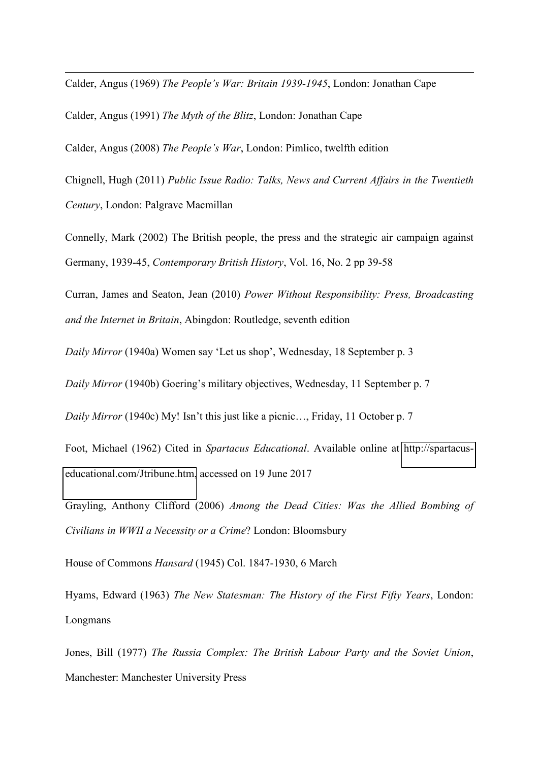Calder, Angus (1969) *The People's War: Britain 1939-1945*, London: Jonathan Cape

Calder, Angus (1991) *The Myth of the Blitz*, London: Jonathan Cape

 $\overline{a}$ 

Calder, Angus (2008) *The People's War*, London: Pimlico, twelfth edition

Chignell, Hugh (2011) *Public Issue Radio: Talks, News and Current Affairs in the Twentieth Century*, London: Palgrave Macmillan

Connelly, Mark (2002) The British people, the press and the strategic air campaign against Germany, 1939-45, *Contemporary British History*, Vol. 16, No. 2 pp 39-58

Curran, James and Seaton, Jean (2010) *Power Without Responsibility: Press, Broadcasting and the Internet in Britain*, Abingdon: Routledge, seventh edition

*Daily Mirror* (1940a) Women say 'Let us shop', Wednesday, 18 September p. 3

*Daily Mirror* (1940b) Goering's military objectives, Wednesday, 11 September p. 7

*Daily Mirror* (1940c) My! Isn't this just like a picnic..., Friday, 11 October p. 7

Foot, Michael (1962) Cited in *Spartacus Educational*. Available online at [http://spartacus](http://spartacus-educational.com/Jtribune.htm)[educational.com/Jtribune.htm,](http://spartacus-educational.com/Jtribune.htm) accessed on 19 June 2017

Grayling, Anthony Clifford (2006) *Among the Dead Cities: Was the Allied Bombing of Civilians in WWII a Necessity or a Crime*? London: Bloomsbury

House of Commons *Hansard* (1945) Col. 1847-1930, 6 March

Hyams, Edward (1963) *The New Statesman: The History of the First Fifty Years*, London: Longmans

Jones, Bill (1977) *The Russia Complex: The British Labour Party and the Soviet Union*, Manchester: Manchester University Press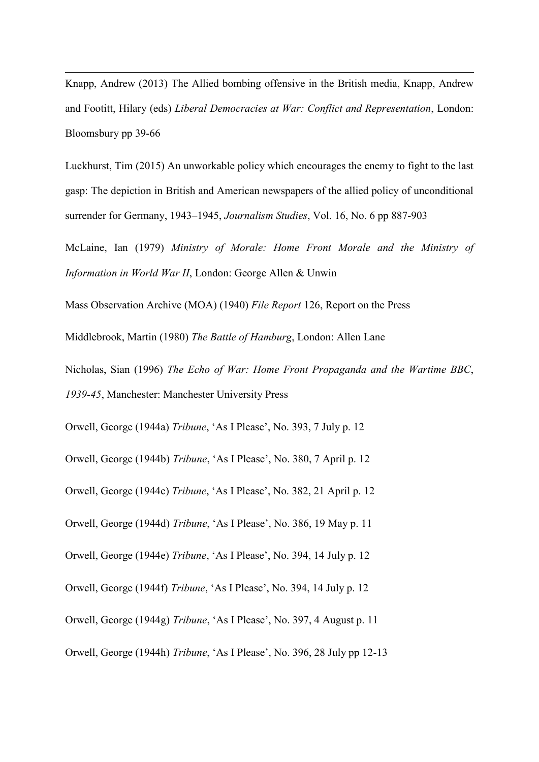Knapp, Andrew (2013) The Allied bombing offensive in the British media, Knapp, Andrew and Footitt, Hilary (eds) *Liberal Democracies at War: Conflict and Representation*, London: Bloomsbury pp 39-66

 $\overline{a}$ 

Luckhurst, Tim (2015) An unworkable policy which encourages the enemy to fight to the last gasp: The depiction in British and American newspapers of the allied policy of unconditional surrender for Germany, 1943–1945, *Journalism Studies*, Vol. 16, No. 6 pp 887-903

McLaine, Ian (1979) *Ministry of Morale: Home Front Morale and the Ministry of Information in World War II*, London: George Allen & Unwin

Mass Observation Archive (MOA) (1940) *File Report* 126, Report on the Press

Middlebrook, Martin (1980) *The Battle of Hamburg*, London: Allen Lane

Nicholas, Sian (1996) *The Echo of War: Home Front Propaganda and the Wartime BBC*, *1939-45*, Manchester: Manchester University Press

Orwell, George (1944a) *Tribune*, 'As I Please', No. 393, 7 July p. 12

Orwell, George (1944b) *Tribune*, 'As I Please', No. 380, 7 April p. 12

Orwell, George (1944c) *Tribune*, 'As I Please', No. 382, 21 April p. 12

Orwell, George (1944d) *Tribune*, 'As I Please', No. 386, 19 May p. 11

Orwell, George (1944e) *Tribune*, 'As I Please', No. 394, 14 July p. 12

Orwell, George (1944f) *Tribune*, 'As I Please', No. 394, 14 July p. 12

Orwell, George (1944g) *Tribune*, 'As I Please', No. 397, 4 August p. 11

```
Orwell, George (1944h) Tribune, 'As I Please', No. 396, 28 July pp 12-13
```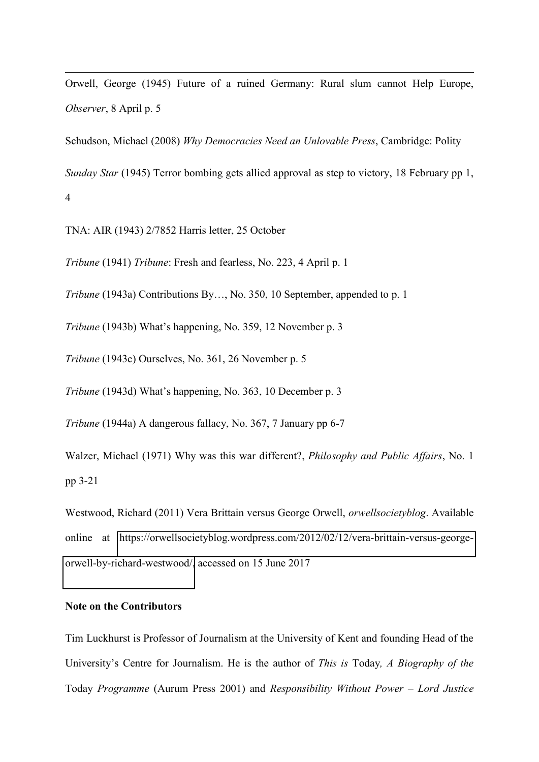Orwell, George (1945) Future of a ruined Germany: Rural slum cannot Help Europe, *Observer*, 8 April p. 5

Schudson, Michael (2008) *Why Democracies Need an Unlovable Press*, Cambridge: Polity

*Sunday Star* (1945) Terror bombing gets allied approval as step to victory, 18 February pp 1, 4

TNA: AIR (1943) 2/7852 Harris letter, 25 October

 $\overline{a}$ 

*Tribune* (1941) *Tribune*: Fresh and fearless, No. 223, 4 April p. 1

*Tribune* (1943a) Contributions By..., No. 350, 10 September, appended to p. 1

*Tribune* (1943b) What's happening, No. 359, 12 November p. 3

*Tribune* (1943c) Ourselves, No. 361, 26 November p. 5

*Tribune* (1943d) What's happening, No. 363, 10 December p. 3

*Tribune* (1944a) A dangerous fallacy, No. 367, 7 January pp 6-7

Walzer, Michael (1971) Why was this war different?, *Philosophy and Public Affairs*, No. 1 pp 3-21

Westwood, Richard (2011) Vera Brittain versus George Orwell, *orwellsocietyblog*. Available online at [https://orwellsocietyblog.wordpress.com/2012/02/12/vera-brittain-versus-george](https://orwellsocietyblog.wordpress.com/2012/02/12/vera-brittain-versus-george-orwell-by-richard-westwood/)[orwell-by-richard-westwood/,](https://orwellsocietyblog.wordpress.com/2012/02/12/vera-brittain-versus-george-orwell-by-richard-westwood/) accessed on 15 June 2017

#### **Note on the Contributors**

Tim Luckhurst is Professor of Journalism at the University of Kent and founding Head of the University's Centre for Journalism. He is the author of *This is* Today*, A Biography of the*  Today *Programme* (Aurum Press 2001) and *Responsibility Without Power – Lord Justice*